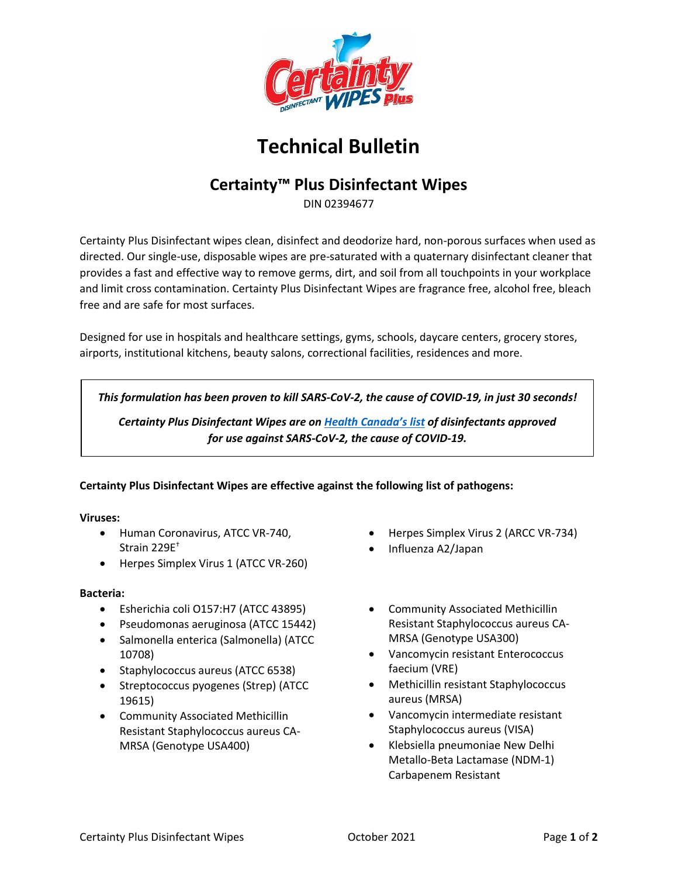

# **Technical Bulletin**

## **Certainty™ Plus Disinfectant Wipes**

DIN 02394677

Certainty Plus Disinfectant wipes clean, disinfect and deodorize hard, non-porous surfaces when used as directed. Our single-use, disposable wipes are pre-saturated with a quaternary disinfectant cleaner that provides a fast and effective way to remove germs, dirt, and soil from all touchpoints in your workplace and limit cross contamination. Certainty Plus Disinfectant Wipes are fragrance free, alcohol free, bleach free and are safe for most surfaces.

Designed for use in hospitals and healthcare settings, gyms, schools, daycare centers, grocery stores, airports, institutional kitchens, beauty salons, correctional facilities, residences and more.

*This formulation has been proven to kill SARS-CoV-2, the cause of COVID-19, in just 30 seconds!*

*Certainty Plus Disinfectant Wipes are on [Health Canada's list](https://www.canada.ca/en/health-canada/services/drugs-health-products/disinfectants/covid-19/list.html) of disinfectants approved for use against SARS-CoV-2, the cause of COVID-19.*

**Certainty Plus Disinfectant Wipes are effective against the following list of pathogens:** 

#### **Viruses:**

- Human Coronavirus, ATCC VR-740, Strain 229E†
- Herpes Simplex Virus 1 (ATCC VR-260)

#### **Bacteria:**

- Esherichia coli O157:H7 (ATCC 43895)
- Pseudomonas aeruginosa (ATCC 15442)
- Salmonella enterica (Salmonella) (ATCC 10708)
- Staphylococcus aureus (ATCC 6538)
- Streptococcus pyogenes (Strep) (ATCC 19615)
- Community Associated Methicillin Resistant Staphylococcus aureus CA-MRSA (Genotype USA400)
- Herpes Simplex Virus 2 (ARCC VR-734)
- Influenza A2/Japan
- Community Associated Methicillin Resistant Staphylococcus aureus CA-MRSA (Genotype USA300)
- Vancomycin resistant Enterococcus faecium (VRE)
- Methicillin resistant Staphylococcus aureus (MRSA)
- Vancomycin intermediate resistant Staphylococcus aureus (VISA)
- Klebsiella pneumoniae New Delhi Metallo-Beta Lactamase (NDM-1) Carbapenem Resistant